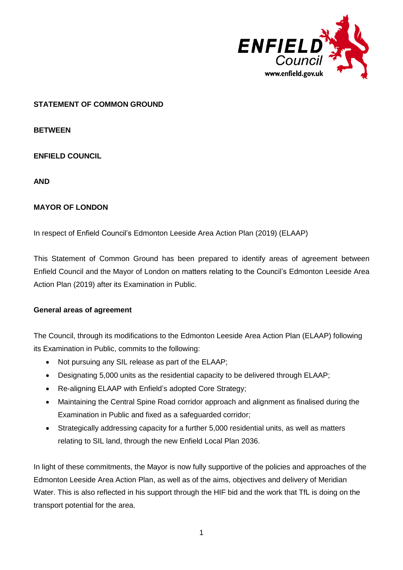

## **STATEMENT OF COMMON GROUND**

**BETWEEN**

**ENFIELD COUNCIL**

**AND**

### **MAYOR OF LONDON**

In respect of Enfield Council's Edmonton Leeside Area Action Plan (2019) (ELAAP)

This Statement of Common Ground has been prepared to identify areas of agreement between Enfield Council and the Mayor of London on matters relating to the Council's Edmonton Leeside Area Action Plan (2019) after its Examination in Public.

#### **General areas of agreement**

The Council, through its modifications to the Edmonton Leeside Area Action Plan (ELAAP) following its Examination in Public, commits to the following:

- Not pursuing any SIL release as part of the ELAAP;
- Designating 5,000 units as the residential capacity to be delivered through ELAAP;
- Re-aligning ELAAP with Enfield's adopted Core Strategy;
- Maintaining the Central Spine Road corridor approach and alignment as finalised during the Examination in Public and fixed as a safeguarded corridor;
- Strategically addressing capacity for a further 5,000 residential units, as well as matters relating to SIL land, through the new Enfield Local Plan 2036.

In light of these commitments, the Mayor is now fully supportive of the policies and approaches of the Edmonton Leeside Area Action Plan, as well as of the aims, objectives and delivery of Meridian Water. This is also reflected in his support through the HIF bid and the work that TfL is doing on the transport potential for the area.